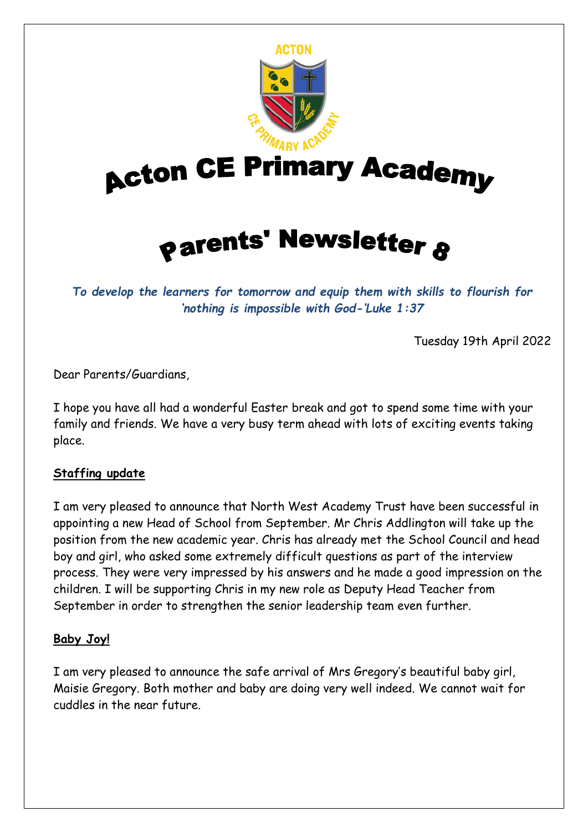

*To develop the learners for tomorrow and equip them with skills to flourish for 'nothing is impossible with God-'Luke 1:37*

Tuesday 19th April 2022

Dear Parents/Guardians,

I hope you have all had a wonderful Easter break and got to spend some time with your family and friends. We have a very busy term ahead with lots of exciting events taking place.

## **Staffing update**

I am very pleased to announce that North West Academy Trust have been successful in appointing a new Head of School from September. Mr Chris Addlington will take up the position from the new academic year. Chris has already met the School Council and head boy and girl, who asked some extremely difficult questions as part of the interview process. They were very impressed by his answers and he made a good impression on the children. I will be supporting Chris in my new role as Deputy Head Teacher from September in order to strengthen the senior leadership team even further.

## **Baby Joy!**

I am very pleased to announce the safe arrival of Mrs Gregory's beautiful baby girl, Maisie Gregory. Both mother and baby are doing very well indeed. We cannot wait for cuddles in the near future.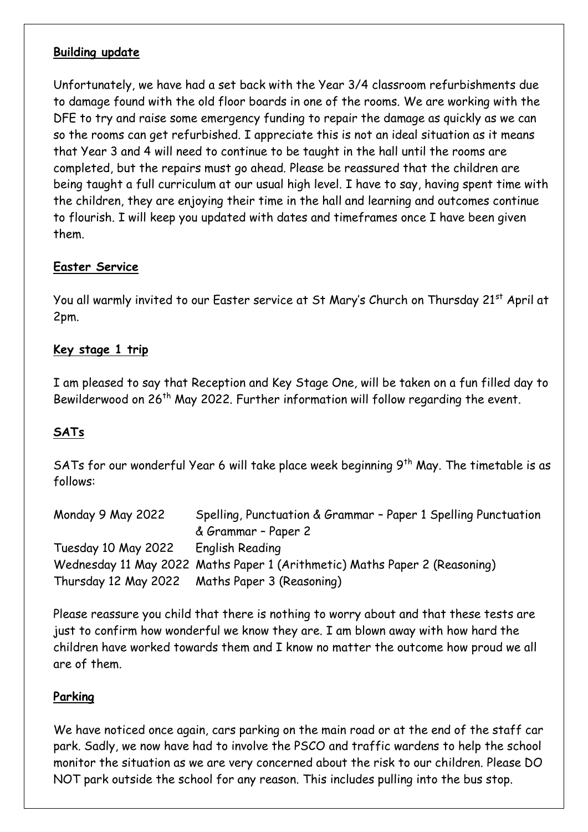## **Building update**

Unfortunately, we have had a set back with the Year 3/4 classroom refurbishments due to damage found with the old floor boards in one of the rooms. We are working with the DFE to try and raise some emergency funding to repair the damage as quickly as we can so the rooms can get refurbished. I appreciate this is not an ideal situation as it means that Year 3 and 4 will need to continue to be taught in the hall until the rooms are completed, but the repairs must go ahead. Please be reassured that the children are being taught a full curriculum at our usual high level. I have to say, having spent time with the children, they are enjoying their time in the hall and learning and outcomes continue to flourish. I will keep you updated with dates and timeframes once I have been given them.

## **Easter Service**

You all warmly invited to our Easter service at St Mary's Church on Thursday 21<sup>st</sup> April at 2pm.

#### **Key stage 1 trip**

I am pleased to say that Reception and Key Stage One, will be taken on a fun filled day to Bewilderwood on 26<sup>th</sup> May 2022. Further information will follow regarding the event.

# **SATs**

SATs for our wonderful Year 6 will take place week beginning 9<sup>th</sup> May. The timetable is as follows:

| Monday 9 May 2022   | Spelling, Punctuation & Grammar - Paper 1 Spelling Punctuation             |
|---------------------|----------------------------------------------------------------------------|
|                     | & Grammar - Paper 2                                                        |
| Tuesday 10 May 2022 | English Reading                                                            |
|                     | Wednesday 11 May 2022 Maths Paper 1 (Arithmetic) Maths Paper 2 (Reasoning) |
|                     | Thursday 12 May 2022 Maths Paper 3 (Reasoning)                             |

Please reassure you child that there is nothing to worry about and that these tests are just to confirm how wonderful we know they are. I am blown away with how hard the children have worked towards them and I know no matter the outcome how proud we all are of them.

## **Parking**

We have noticed once again, cars parking on the main road or at the end of the staff car park. Sadly, we now have had to involve the PSCO and traffic wardens to help the school monitor the situation as we are very concerned about the risk to our children. Please DO NOT park outside the school for any reason. This includes pulling into the bus stop.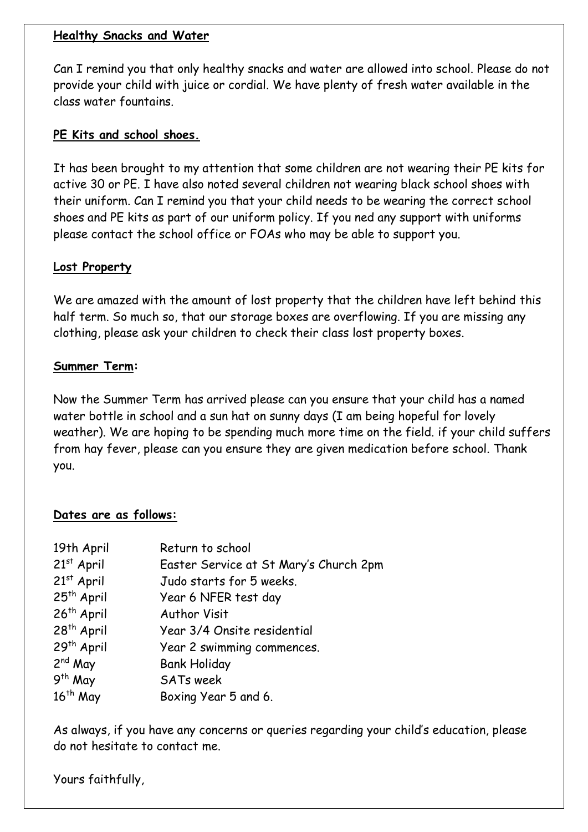#### **Healthy Snacks and Water**

Can I remind you that only healthy snacks and water are allowed into school. Please do not provide your child with juice or cordial. We have plenty of fresh water available in the class water fountains.

#### **PE Kits and school shoes.**

It has been brought to my attention that some children are not wearing their PE kits for active 30 or PE. I have also noted several children not wearing black school shoes with their uniform. Can I remind you that your child needs to be wearing the correct school shoes and PE kits as part of our uniform policy. If you ned any support with uniforms please contact the school office or FOAs who may be able to support you.

#### **Lost Property**

We are amazed with the amount of lost property that the children have left behind this half term. So much so, that our storage boxes are overflowing. If you are missing any clothing, please ask your children to check their class lost property boxes.

#### **Summer Term:**

Now the Summer Term has arrived please can you ensure that your child has a named water bottle in school and a sun hat on sunny days (I am being hopeful for lovely weather). We are hoping to be spending much more time on the field. if your child suffers from hay fever, please can you ensure they are given medication before school. Thank you.

#### **Dates are as follows:**

| 19th April             | Return to school                       |
|------------------------|----------------------------------------|
| $21st$ April           | Easter Service at St Mary's Church 2pm |
| $21st$ April           | Judo starts for 5 weeks.               |
| 25 <sup>th</sup> April | Year 6 NFER test day                   |
| 26 <sup>th</sup> April | <b>Author Visit</b>                    |
| 28 <sup>th</sup> April | Year 3/4 Onsite residential            |
| 29 <sup>th</sup> April | Year 2 swimming commences.             |
| $2nd$ May              | <b>Bank Holiday</b>                    |
| $9th$ May              | <b>SATs week</b>                       |
| $16th$ May             | Boxing Year 5 and 6.                   |

As always, if you have any concerns or queries regarding your child's education, please do not hesitate to contact me.

Yours faithfully,